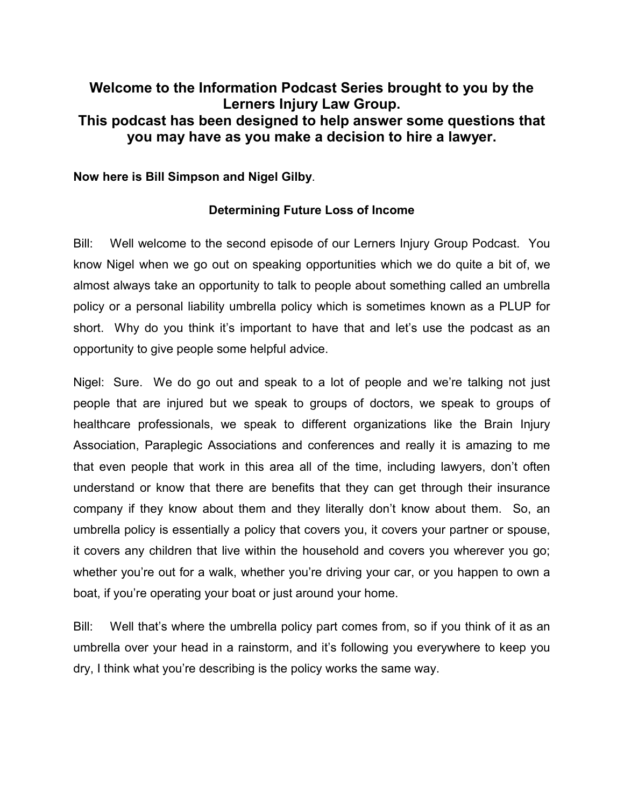# **Welcome to the Information Podcast Series brought to you by the Lerners Injury Law Group. This podcast has been designed to help answer some questions that you may have as you make a decision to hire a lawyer.**

**Now here is Bill Simpson and Nigel Gilby**.

## **Determining Future Loss of Income**

Bill: Well welcome to the second episode of our Lerners Injury Group Podcast. You know Nigel when we go out on speaking opportunities which we do quite a bit of, we almost always take an opportunity to talk to people about something called an umbrella policy or a personal liability umbrella policy which is sometimes known as a PLUP for short. Why do you think it's important to have that and let's use the podcast as an opportunity to give people some helpful advice.

Nigel: Sure. We do go out and speak to a lot of people and we're talking not just people that are injured but we speak to groups of doctors, we speak to groups of healthcare professionals, we speak to different organizations like the Brain Injury Association, Paraplegic Associations and conferences and really it is amazing to me that even people that work in this area all of the time, including lawyers, don't often understand or know that there are benefits that they can get through their insurance company if they know about them and they literally don't know about them. So, an umbrella policy is essentially a policy that covers you, it covers your partner or spouse, it covers any children that live within the household and covers you wherever you go; whether you're out for a walk, whether you're driving your car, or you happen to own a boat, if you're operating your boat or just around your home.

Bill: Well that's where the umbrella policy part comes from, so if you think of it as an umbrella over your head in a rainstorm, and it's following you everywhere to keep you dry, I think what you're describing is the policy works the same way.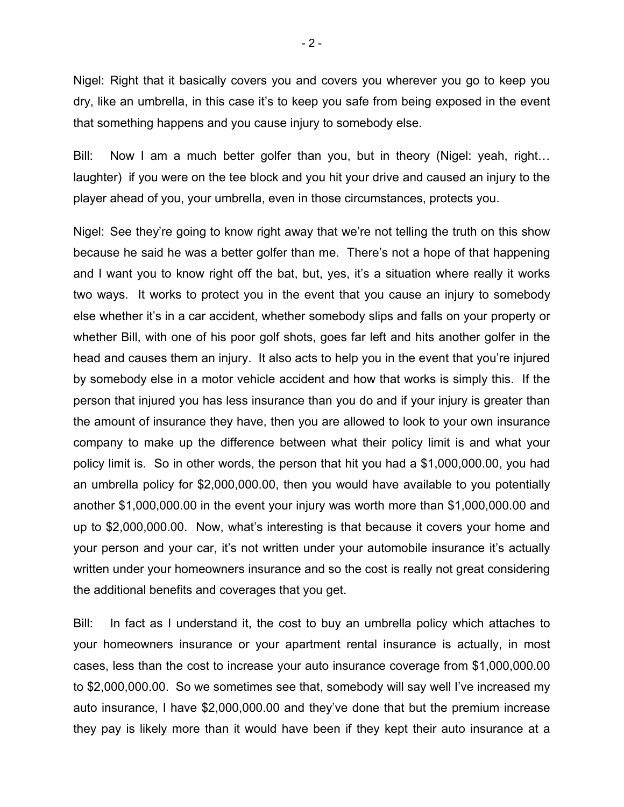Nigel: Right that it basically covers you and covers you wherever you go to keep you dry, like an umbrella, in this case it's to keep you safe from being exposed in the event that something happens and you cause injury to somebody else.

Bill: Now I am a much better golfer than you, but in theory (Nigel: yeah, right... laughter) if you were on the tee block and you hit your drive and caused an injury to the player ahead of you, your umbrella, even in those circumstances, protects you.

Nigel: See they're going to know right away that we're not telling the truth on this show because he said he was a better golfer than me. There's not a hope of that happening and I want you to know right off the bat, but, yes, it's a situation where really it works two ways. It works to protect you in the event that you cause an injury to somebody else whether it's in a car accident, whether somebody slips and falls on your property or whether Bill, with one of his poor golf shots, goes far left and hits another golfer in the head and causes them an injury. It also acts to help you in the event that you're injured by somebody else in a motor vehicle accident and how that works is simply this. If the person that injured you has less insurance than you do and if your injury is greater than the amount of insurance they have, then you are allowed to look to your own insurance company to make up the difference between what their policy limit is and what your policy limit is. So in other words, the person that hit you had a \$1,000,000.00, you had an umbrella policy for \$2,000,000.00, then you would have available to you potentially another \$1,000,000.00 in the event your injury was worth more than \$1,000,000.00 and up to \$2,000,000.00. Now, what's interesting is that because it covers your home and your person and your car, it's not written under your automobile insurance it's actually written under your homeowners insurance and so the cost is really not great considering the additional benefits and coverages that you get.

Bill: In fact as I understand it, the cost to buy an umbrella policy which attaches to your homeowners insurance or your apartment rental insurance is actually, in most cases, less than the cost to increase your auto insurance coverage from \$1,000,000.00 to \$2,000,000.00. So we sometimes see that, somebody will say well I've increased my auto insurance, I have \$2,000,000.00 and they've done that but the premium increase they pay is likely more than it would have been if they kept their auto insurance at a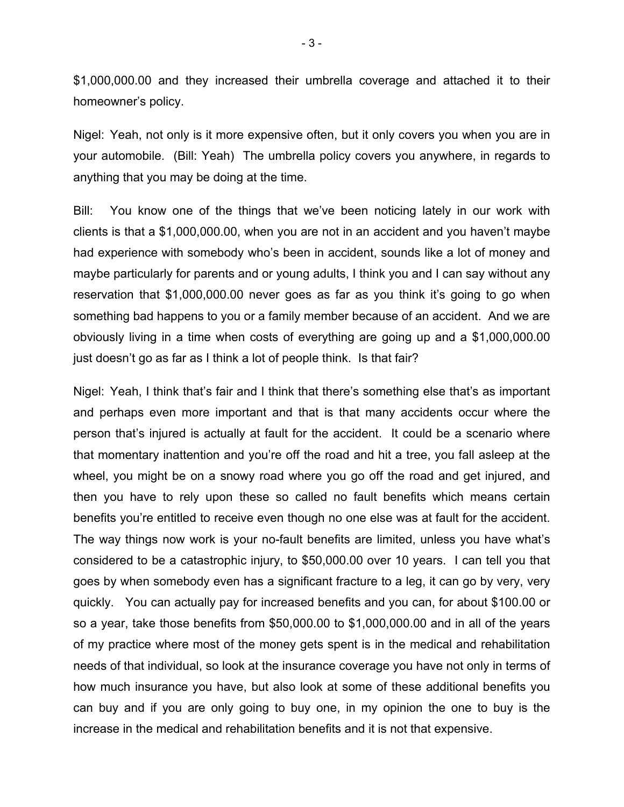\$1,000,000.00 and they increased their umbrella coverage and attached it to their homeowner's policy.

Nigel: Yeah, not only is it more expensive often, but it only covers you when you are in your automobile. (Bill: Yeah) The umbrella policy covers you anywhere, in regards to anything that you may be doing at the time.

Bill: You know one of the things that we've been noticing lately in our work with clients is that a \$1,000,000.00, when you are not in an accident and you haven't maybe had experience with somebody who's been in accident, sounds like a lot of money and maybe particularly for parents and or young adults, I think you and I can say without any reservation that \$1,000,000.00 never goes as far as you think it's going to go when something bad happens to you or a family member because of an accident. And we are obviously living in a time when costs of everything are going up and a \$1,000,000.00 just doesn't go as far as I think a lot of people think. Is that fair?

Nigel: Yeah, I think that's fair and I think that there's something else that's as important and perhaps even more important and that is that many accidents occur where the person that's injured is actually at fault for the accident. It could be a scenario where that momentary inattention and you're off the road and hit a tree, you fall asleep at the wheel, you might be on a snowy road where you go off the road and get injured, and then you have to rely upon these so called no fault benefits which means certain benefits you're entitled to receive even though no one else was at fault for the accident. The way things now work is your no-fault benefits are limited, unless you have what's considered to be a catastrophic injury, to \$50,000.00 over 10 years. I can tell you that goes by when somebody even has a significant fracture to a leg, it can go by very, very quickly. You can actually pay for increased benefits and you can, for about \$100.00 or so a year, take those benefits from \$50,000.00 to \$1,000,000.00 and in all of the years of my practice where most of the money gets spent is in the medical and rehabilitation needs of that individual, so look at the insurance coverage you have not only in terms of how much insurance you have, but also look at some of these additional benefits you can buy and if you are only going to buy one, in my opinion the one to buy is the increase in the medical and rehabilitation benefits and it is not that expensive.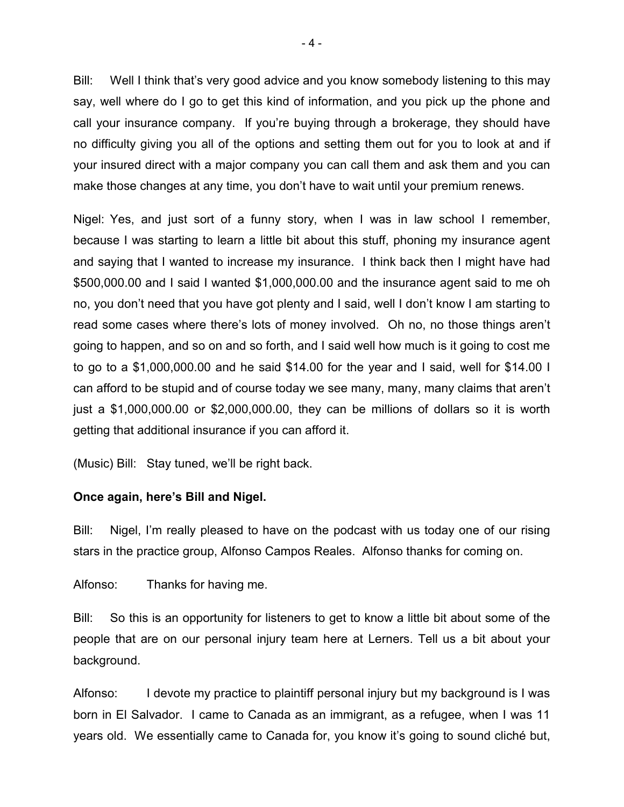Bill: Well I think that's very good advice and you know somebody listening to this may say, well where do I go to get this kind of information, and you pick up the phone and call your insurance company. If you're buying through a brokerage, they should have no difficulty giving you all of the options and setting them out for you to look at and if your insured direct with a major company you can call them and ask them and you can make those changes at any time, you don't have to wait until your premium renews.

Nigel: Yes, and just sort of a funny story, when I was in law school I remember, because I was starting to learn a little bit about this stuff, phoning my insurance agent and saying that I wanted to increase my insurance. I think back then I might have had \$500,000.00 and I said I wanted \$1,000,000.00 and the insurance agent said to me oh no, you don't need that you have got plenty and I said, well I don't know I am starting to read some cases where there's lots of money involved. Oh no, no those things aren't going to happen, and so on and so forth, and I said well how much is it going to cost me to go to a \$1,000,000.00 and he said \$14.00 for the year and I said, well for \$14.00 I can afford to be stupid and of course today we see many, many, many claims that aren't just a \$1,000,000.00 or \$2,000,000.00, they can be millions of dollars so it is worth getting that additional insurance if you can afford it.

(Music) Bill: Stay tuned, we'll be right back.

## **Once again, here's Bill and Nigel.**

Bill: Nigel, I'm really pleased to have on the podcast with us today one of our rising stars in the practice group, Alfonso Campos Reales. Alfonso thanks for coming on.

Alfonso: Thanks for having me.

Bill: So this is an opportunity for listeners to get to know a little bit about some of the people that are on our personal injury team here at Lerners. Tell us a bit about your background.

Alfonso: I devote my practice to plaintiff personal injury but my background is I was born in El Salvador. I came to Canada as an immigrant, as a refugee, when I was 11 years old. We essentially came to Canada for, you know it's going to sound cliché but,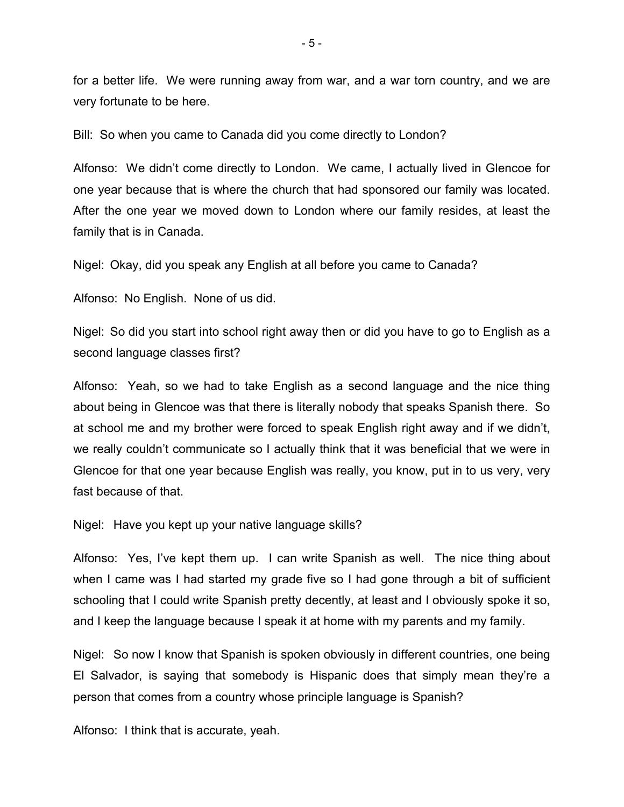for a better life. We were running away from war, and a war torn country, and we are very fortunate to be here.

Bill: So when you came to Canada did you come directly to London?

Alfonso: We didn't come directly to London. We came, I actually lived in Glencoe for one year because that is where the church that had sponsored our family was located. After the one year we moved down to London where our family resides, at least the family that is in Canada.

Nigel: Okay, did you speak any English at all before you came to Canada?

Alfonso: No English. None of us did.

Nigel: So did you start into school right away then or did you have to go to English as a second language classes first?

Alfonso: Yeah, so we had to take English as a second language and the nice thing about being in Glencoe was that there is literally nobody that speaks Spanish there. So at school me and my brother were forced to speak English right away and if we didn't, we really couldn't communicate so I actually think that it was beneficial that we were in Glencoe for that one year because English was really, you know, put in to us very, very fast because of that.

Nigel: Have you kept up your native language skills?

Alfonso: Yes, I've kept them up. I can write Spanish as well. The nice thing about when I came was I had started my grade five so I had gone through a bit of sufficient schooling that I could write Spanish pretty decently, at least and I obviously spoke it so, and I keep the language because I speak it at home with my parents and my family.

Nigel: So now I know that Spanish is spoken obviously in different countries, one being El Salvador, is saying that somebody is Hispanic does that simply mean they're a person that comes from a country whose principle language is Spanish?

Alfonso: I think that is accurate, yeah.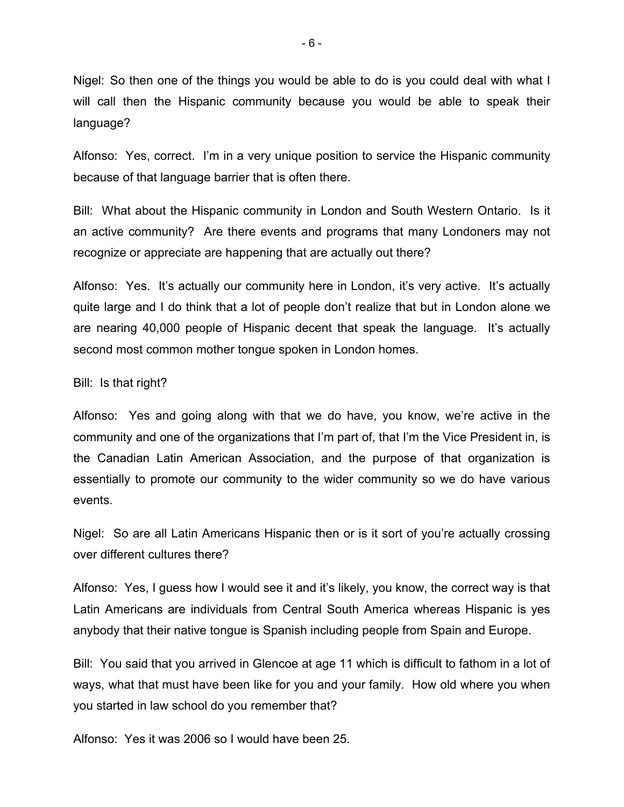Nigel: So then one of the things you would be able to do is you could deal with what I will call then the Hispanic community because you would be able to speak their language?

Alfonso: Yes, correct. I'm in a very unique position to service the Hispanic community because of that language barrier that is often there.

Bill: What about the Hispanic community in London and South Western Ontario. Is it an active community? Are there events and programs that many Londoners may not recognize or appreciate are happening that are actually out there?

Alfonso: Yes. It's actually our community here in London, it's very active. It's actually quite large and I do think that a lot of people don't realize that but in London alone we are nearing 40,000 people of Hispanic decent that speak the language. It's actually second most common mother tongue spoken in London homes.

## Bill: Is that right?

Alfonso: Yes and going along with that we do have, you know, we're active in the community and one of the organizations that I'm part of, that I'm the Vice President in, is the Canadian Latin American Association, and the purpose of that organization is essentially to promote our community to the wider community so we do have various events.

Nigel: So are all Latin Americans Hispanic then or is it sort of you're actually crossing over different cultures there?

Alfonso: Yes, I guess how I would see it and it's likely, you know, the correct way is that Latin Americans are individuals from Central South America whereas Hispanic is yes anybody that their native tongue is Spanish including people from Spain and Europe.

Bill: You said that you arrived in Glencoe at age 11 which is difficult to fathom in a lot of ways, what that must have been like for you and your family. How old where you when you started in law school do you remember that?

Alfonso: Yes it was 2006 so I would have been 25.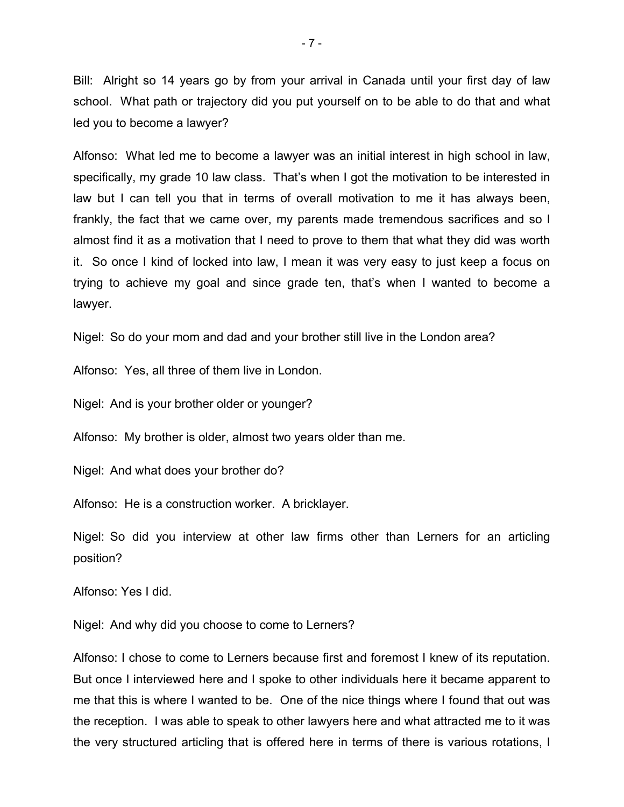Bill: Alright so 14 years go by from your arrival in Canada until your first day of law school. What path or trajectory did you put yourself on to be able to do that and what led you to become a lawyer?

Alfonso: What led me to become a lawyer was an initial interest in high school in law, specifically, my grade 10 law class. That's when I got the motivation to be interested in law but I can tell you that in terms of overall motivation to me it has always been, frankly, the fact that we came over, my parents made tremendous sacrifices and so I almost find it as a motivation that I need to prove to them that what they did was worth it. So once I kind of locked into law, I mean it was very easy to just keep a focus on trying to achieve my goal and since grade ten, that's when I wanted to become a lawyer.

Nigel: So do your mom and dad and your brother still live in the London area?

Alfonso: Yes, all three of them live in London.

Nigel: And is your brother older or younger?

Alfonso: My brother is older, almost two years older than me.

Nigel: And what does your brother do?

Alfonso: He is a construction worker. A bricklayer.

Nigel: So did you interview at other law firms other than Lerners for an articling position?

Alfonso: Yes I did.

Nigel: And why did you choose to come to Lerners?

Alfonso: I chose to come to Lerners because first and foremost I knew of its reputation. But once I interviewed here and I spoke to other individuals here it became apparent to me that this is where I wanted to be. One of the nice things where I found that out was the reception. I was able to speak to other lawyers here and what attracted me to it was the very structured articling that is offered here in terms of there is various rotations, I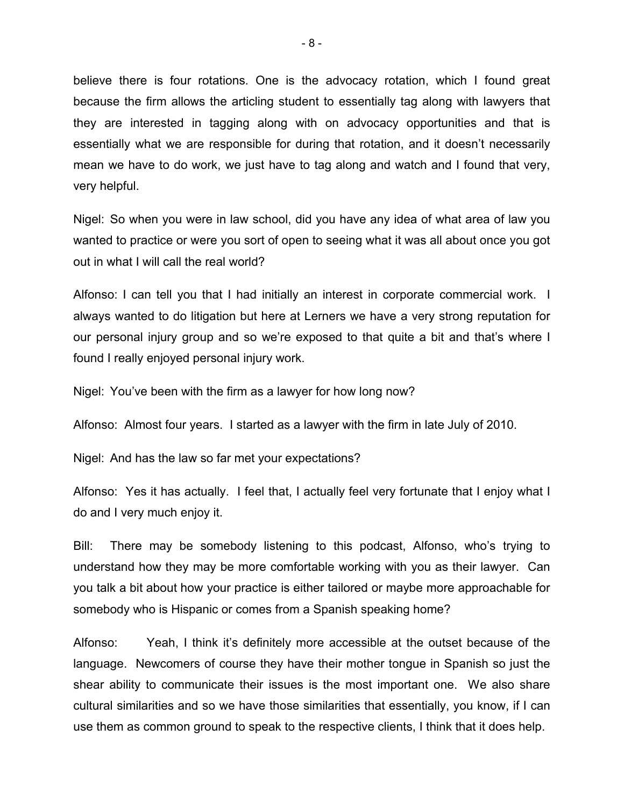believe there is four rotations. One is the advocacy rotation, which I found great because the firm allows the articling student to essentially tag along with lawyers that they are interested in tagging along with on advocacy opportunities and that is essentially what we are responsible for during that rotation, and it doesn't necessarily mean we have to do work, we just have to tag along and watch and I found that very, very helpful.

Nigel: So when you were in law school, did you have any idea of what area of law you wanted to practice or were you sort of open to seeing what it was all about once you got out in what I will call the real world?

Alfonso: I can tell you that I had initially an interest in corporate commercial work. I always wanted to do litigation but here at Lerners we have a very strong reputation for our personal injury group and so we're exposed to that quite a bit and that's where I found I really enjoyed personal injury work.

Nigel: You've been with the firm as a lawyer for how long now?

Alfonso: Almost four years. I started as a lawyer with the firm in late July of 2010.

Nigel: And has the law so far met your expectations?

Alfonso: Yes it has actually. I feel that, I actually feel very fortunate that I enjoy what I do and I very much enjoy it.

Bill: There may be somebody listening to this podcast, Alfonso, who's trying to understand how they may be more comfortable working with you as their lawyer. Can you talk a bit about how your practice is either tailored or maybe more approachable for somebody who is Hispanic or comes from a Spanish speaking home?

Alfonso: Yeah, I think it's definitely more accessible at the outset because of the language. Newcomers of course they have their mother tongue in Spanish so just the shear ability to communicate their issues is the most important one. We also share cultural similarities and so we have those similarities that essentially, you know, if I can use them as common ground to speak to the respective clients, I think that it does help.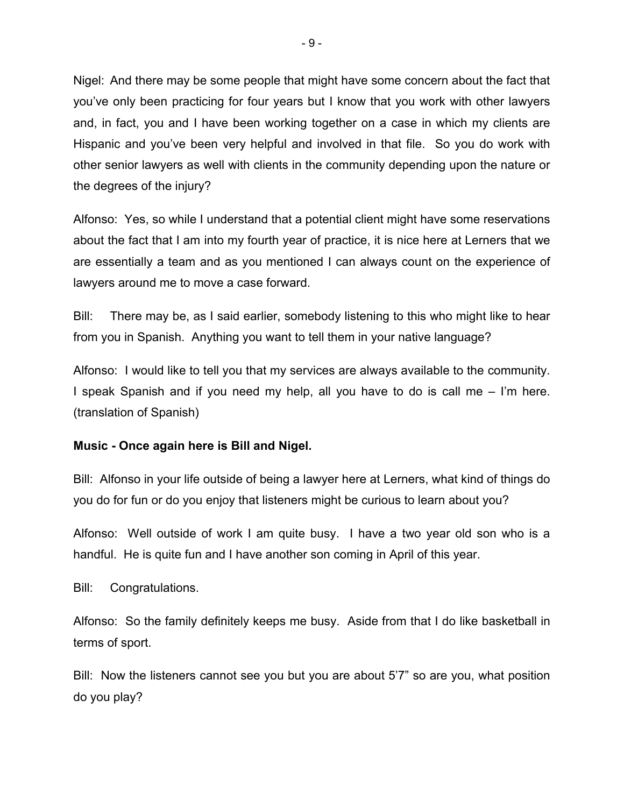Nigel: And there may be some people that might have some concern about the fact that you've only been practicing for four years but I know that you work with other lawyers and, in fact, you and I have been working together on a case in which my clients are Hispanic and you've been very helpful and involved in that file. So you do work with other senior lawyers as well with clients in the community depending upon the nature or the degrees of the injury?

Alfonso: Yes, so while I understand that a potential client might have some reservations about the fact that I am into my fourth year of practice, it is nice here at Lerners that we are essentially a team and as you mentioned I can always count on the experience of lawyers around me to move a case forward.

Bill: There may be, as I said earlier, somebody listening to this who might like to hear from you in Spanish. Anything you want to tell them in your native language?

Alfonso: I would like to tell you that my services are always available to the community. I speak Spanish and if you need my help, all you have to do is call me – I'm here. (translation of Spanish)

## **Music - Once again here is Bill and Nigel.**

Bill: Alfonso in your life outside of being a lawyer here at Lerners, what kind of things do you do for fun or do you enjoy that listeners might be curious to learn about you?

Alfonso: Well outside of work I am quite busy. I have a two year old son who is a handful. He is quite fun and I have another son coming in April of this year.

Bill: Congratulations.

Alfonso: So the family definitely keeps me busy. Aside from that I do like basketball in terms of sport.

Bill: Now the listeners cannot see you but you are about 5'7" so are you, what position do you play?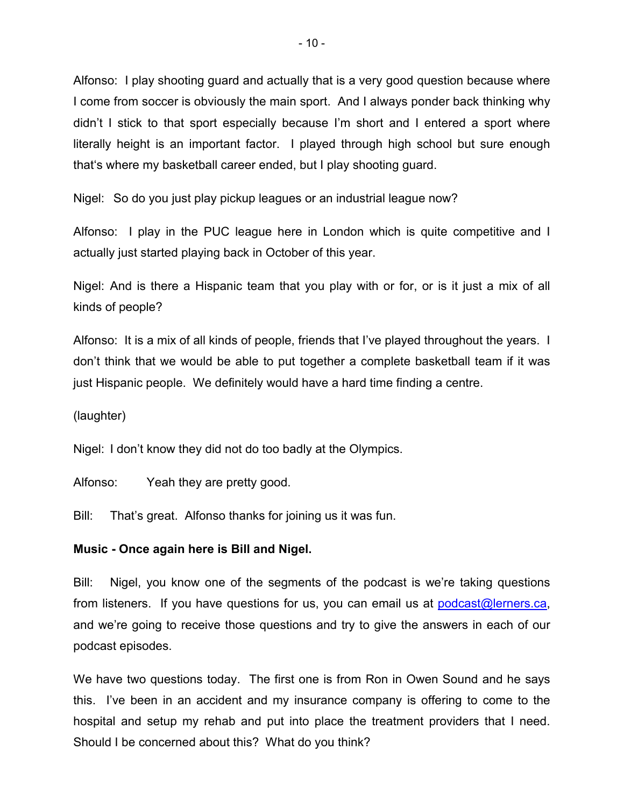Alfonso: I play shooting guard and actually that is a very good question because where I come from soccer is obviously the main sport. And I always ponder back thinking why didn't I stick to that sport especially because I'm short and I entered a sport where literally height is an important factor. I played through high school but sure enough that's where my basketball career ended, but I play shooting guard.

Nigel: So do you just play pickup leagues or an industrial league now?

Alfonso: I play in the PUC league here in London which is quite competitive and I actually just started playing back in October of this year.

Nigel: And is there a Hispanic team that you play with or for, or is it just a mix of all kinds of people?

Alfonso: It is a mix of all kinds of people, friends that I've played throughout the years. I don't think that we would be able to put together a complete basketball team if it was just Hispanic people. We definitely would have a hard time finding a centre.

## (laughter)

Nigel: I don't know they did not do too badly at the Olympics.

Alfonso: Yeah they are pretty good.

Bill: That's great. Alfonso thanks for joining us it was fun.

## **Music - Once again here is Bill and Nigel.**

Bill: Nigel, you know one of the segments of the podcast is we're taking questions from listeners. If you have questions for us, you can email us at [podcast@lerners.ca,](podcast@lerners.ca) and we're going to receive those questions and try to give the answers in each of our podcast episodes.

We have two questions today. The first one is from Ron in Owen Sound and he says this. I've been in an accident and my insurance company is offering to come to the hospital and setup my rehab and put into place the treatment providers that I need. Should I be concerned about this? What do you think?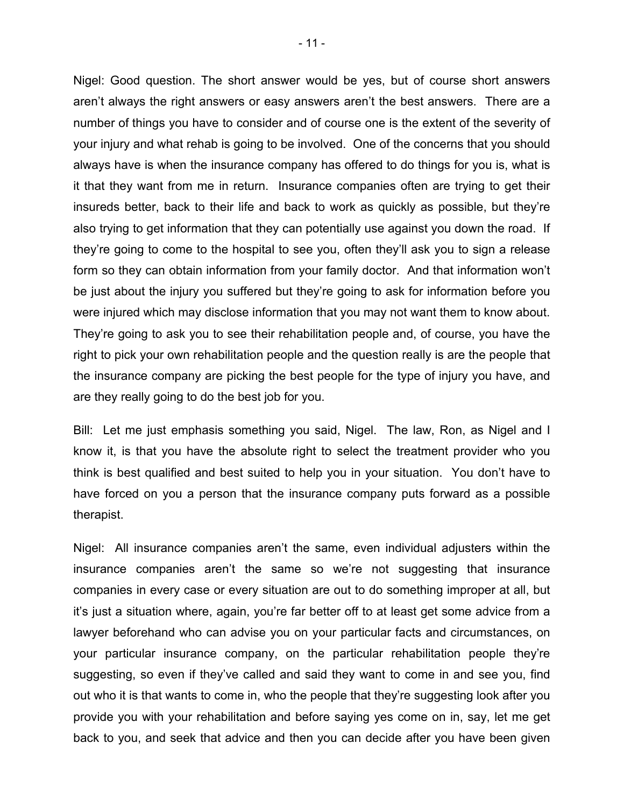Nigel: Good question. The short answer would be yes, but of course short answers aren't always the right answers or easy answers aren't the best answers. There are a number of things you have to consider and of course one is the extent of the severity of your injury and what rehab is going to be involved. One of the concerns that you should always have is when the insurance company has offered to do things for you is, what is it that they want from me in return. Insurance companies often are trying to get their insureds better, back to their life and back to work as quickly as possible, but they're also trying to get information that they can potentially use against you down the road. If they're going to come to the hospital to see you, often they'll ask you to sign a release form so they can obtain information from your family doctor. And that information won't be just about the injury you suffered but they're going to ask for information before you were injured which may disclose information that you may not want them to know about. They're going to ask you to see their rehabilitation people and, of course, you have the right to pick your own rehabilitation people and the question really is are the people that the insurance company are picking the best people for the type of injury you have, and are they really going to do the best job for you.

Bill: Let me just emphasis something you said, Nigel. The law, Ron, as Nigel and I know it, is that you have the absolute right to select the treatment provider who you think is best qualified and best suited to help you in your situation. You don't have to have forced on you a person that the insurance company puts forward as a possible therapist.

Nigel: All insurance companies aren't the same, even individual adjusters within the insurance companies aren't the same so we're not suggesting that insurance companies in every case or every situation are out to do something improper at all, but it's just a situation where, again, you're far better off to at least get some advice from a lawyer beforehand who can advise you on your particular facts and circumstances, on your particular insurance company, on the particular rehabilitation people they're suggesting, so even if they've called and said they want to come in and see you, find out who it is that wants to come in, who the people that they're suggesting look after you provide you with your rehabilitation and before saying yes come on in, say, let me get back to you, and seek that advice and then you can decide after you have been given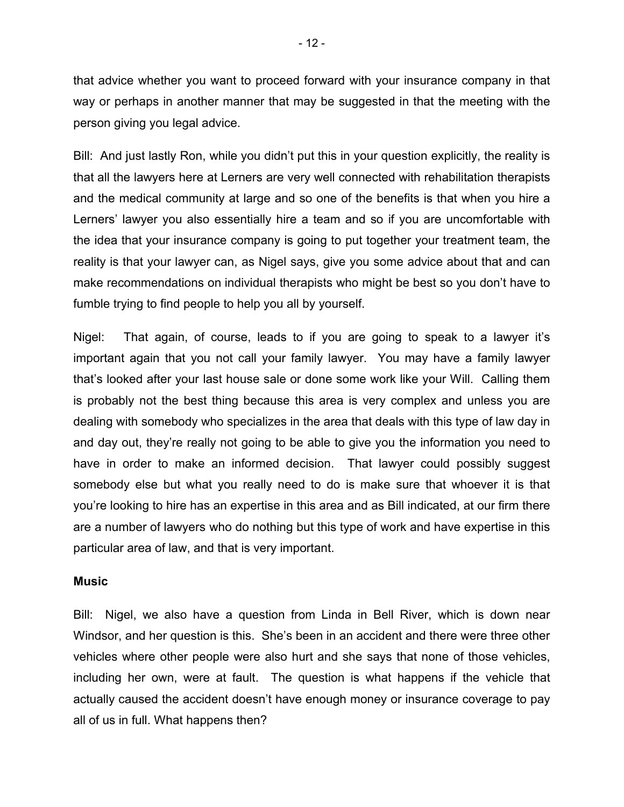that advice whether you want to proceed forward with your insurance company in that way or perhaps in another manner that may be suggested in that the meeting with the person giving you legal advice.

Bill: And just lastly Ron, while you didn't put this in your question explicitly, the reality is that all the lawyers here at Lerners are very well connected with rehabilitation therapists and the medical community at large and so one of the benefits is that when you hire a Lerners' lawyer you also essentially hire a team and so if you are uncomfortable with the idea that your insurance company is going to put together your treatment team, the reality is that your lawyer can, as Nigel says, give you some advice about that and can make recommendations on individual therapists who might be best so you don't have to fumble trying to find people to help you all by yourself.

Nigel: That again, of course, leads to if you are going to speak to a lawyer it's important again that you not call your family lawyer. You may have a family lawyer that's looked after your last house sale or done some work like your Will. Calling them is probably not the best thing because this area is very complex and unless you are dealing with somebody who specializes in the area that deals with this type of law day in and day out, they're really not going to be able to give you the information you need to have in order to make an informed decision. That lawyer could possibly suggest somebody else but what you really need to do is make sure that whoever it is that you're looking to hire has an expertise in this area and as Bill indicated, at our firm there are a number of lawyers who do nothing but this type of work and have expertise in this particular area of law, and that is very important.

## **Music**

Bill: Nigel, we also have a question from Linda in Bell River, which is down near Windsor, and her question is this. She's been in an accident and there were three other vehicles where other people were also hurt and she says that none of those vehicles, including her own, were at fault. The question is what happens if the vehicle that actually caused the accident doesn't have enough money or insurance coverage to pay all of us in full. What happens then?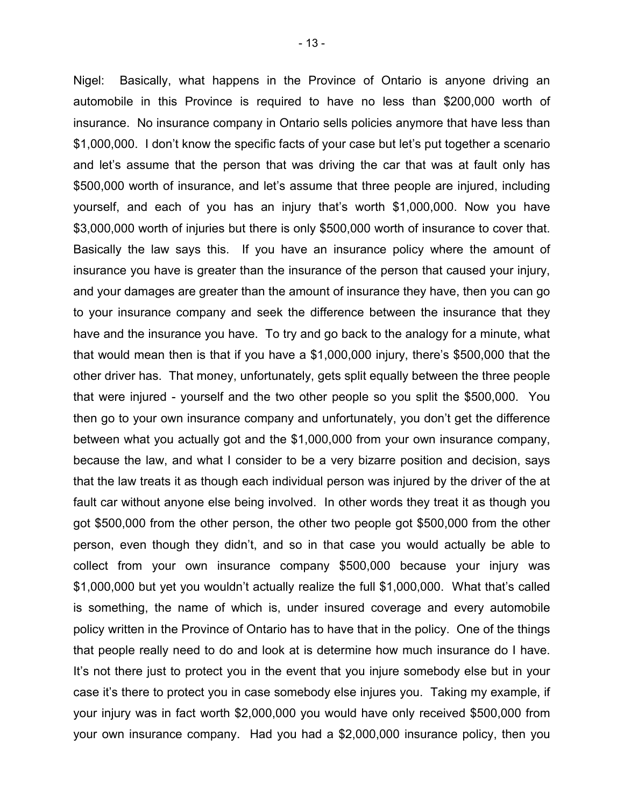Nigel: Basically, what happens in the Province of Ontario is anyone driving an automobile in this Province is required to have no less than \$200,000 worth of insurance. No insurance company in Ontario sells policies anymore that have less than \$1,000,000. I don't know the specific facts of your case but let's put together a scenario and let's assume that the person that was driving the car that was at fault only has \$500,000 worth of insurance, and let's assume that three people are injured, including yourself, and each of you has an injury that's worth \$1,000,000. Now you have \$3,000,000 worth of injuries but there is only \$500,000 worth of insurance to cover that. Basically the law says this. If you have an insurance policy where the amount of insurance you have is greater than the insurance of the person that caused your injury, and your damages are greater than the amount of insurance they have, then you can go to your insurance company and seek the difference between the insurance that they have and the insurance you have. To try and go back to the analogy for a minute, what that would mean then is that if you have a \$1,000,000 injury, there's \$500,000 that the other driver has. That money, unfortunately, gets split equally between the three people that were injured - yourself and the two other people so you split the \$500,000. You then go to your own insurance company and unfortunately, you don't get the difference between what you actually got and the \$1,000,000 from your own insurance company, because the law, and what I consider to be a very bizarre position and decision, says that the law treats it as though each individual person was injured by the driver of the at fault car without anyone else being involved. In other words they treat it as though you got \$500,000 from the other person, the other two people got \$500,000 from the other person, even though they didn't, and so in that case you would actually be able to collect from your own insurance company \$500,000 because your injury was \$1,000,000 but yet you wouldn't actually realize the full \$1,000,000. What that's called is something, the name of which is, under insured coverage and every automobile policy written in the Province of Ontario has to have that in the policy. One of the things that people really need to do and look at is determine how much insurance do I have. It's not there just to protect you in the event that you injure somebody else but in your case it's there to protect you in case somebody else injures you. Taking my example, if your injury was in fact worth \$2,000,000 you would have only received \$500,000 from your own insurance company. Had you had a \$2,000,000 insurance policy, then you